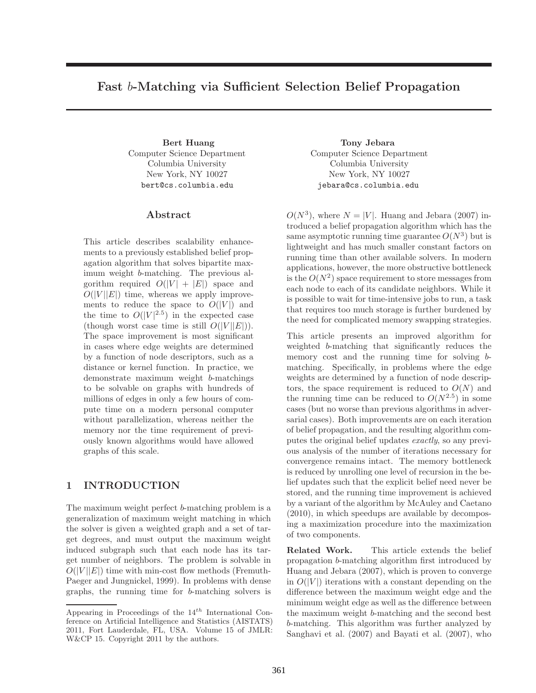## **Fast** *<sup>b</sup>***-Matching via Sufficient Selection Belief Propagation**

Computer Science Department Columbia University New York, NY 10027 bert@cs.columbia.edu

This article describes scalability enhancements to a previously established belief propagation algorithm that solves bipartite maximum weight b-matching. The previous algorithm required  $O(|V| + |E|)$  space and  $O(|V||E|)$  time, whereas we apply improvements to reduce the space to  $O(|V|)$  and the time to  $O(|V|^{2.5})$  in the expected case (though worst case time is still  $O(|V||E|)$ ). The space improvement is most significant in cases where edge weights are determined by a function of node descriptors, such as a distance or kernel function. In practice, we demonstrate maximum weight b-matchings to be solvable on graphs with hundreds of millions of edges in only a few hours of compute time on a modern personal computer without parallelization, whereas neither the memory nor the time requirement of previously known algorithms would have allowed graphs of this scale.

The maximum weight perfect b-matching problem is a generalization of maximum weight matching in which the solver is given a weighted graph and a set of target degrees, and must output the maximum weight induced subgraph such that each node has its target number of neighbors. The problem is solvable in  $O(|V||E|)$  time with min-cost flow methods (Fremuth-Paeger and Jungnickel, 1999). In problems with dense graphs, the running time for b-matching solvers is

**Bert Huang Tony Jebara** Computer Science Department Columbia University New York, NY 10027 jebara@cs.columbia.edu

> $O(N^3)$ , where  $N = |V|$ . Huang and Jebara (2007) introduced a belief propagation algorithm which has the same asymptotic running time guarantee  $O(N^3)$  but is lightweight and has much smaller constant factors on running time than other available solvers. In modern applications, however, the more obstructive bottleneck is the  $O(N^2)$  space requirement to store messages from each node to each of its candidate neighbors. While it is possible to wait for time-intensive jobs to run, a task that requires too much storage is further burdened by the need for complicated memory swapping strategies.

> This article presents an improved algorithm for weighted b-matching that significantly reduces the memory cost and the running time for solving bmatching. Specifically, in problems where the edge weights are determined by a function of node descriptors, the space requirement is reduced to  $O(N)$  and the running time can be reduced to  $O(N^{2.5})$  in some cases (but no worse than previous algorithms in adversarial cases). Both improvements are on each iteration of belief propagation, and the resulting algorithm computes the original belief updates *exactly*, so any previous analysis of the number of iterations necessary for convergence remains intact. The memory bottleneck is reduced by unrolling one level of recursion in the belief updates such that the explicit belief need never be stored, and the running time improvement is achieved by a variant of the algorithm by McAuley and Caetano (2010), in which speedups are available by decomposing a maximization procedure into the maximization of two components.

> **Related Work.** This article extends the belief propagation b-matching algorithm first introduced by Huang and Jebara (2007), which is proven to converge in  $O(|V|)$  iterations with a constant depending on the difference between the maximum weight edge and the minimum weight edge as well as the difference between the maximum weight b-matching and the second best b-matching. This algorithm was further analyzed by Sanghavi et al. (2007) and Bayati et al. (2007), who

Appearing in Proceedings of the 14*th* International Conference on Artificial Intelligence and Statistics (AISTATS) 2011, Fort Lauderdale, FL, USA. Volume 15 of JMLR: W&CP 15. Copyright 2011 by the authors.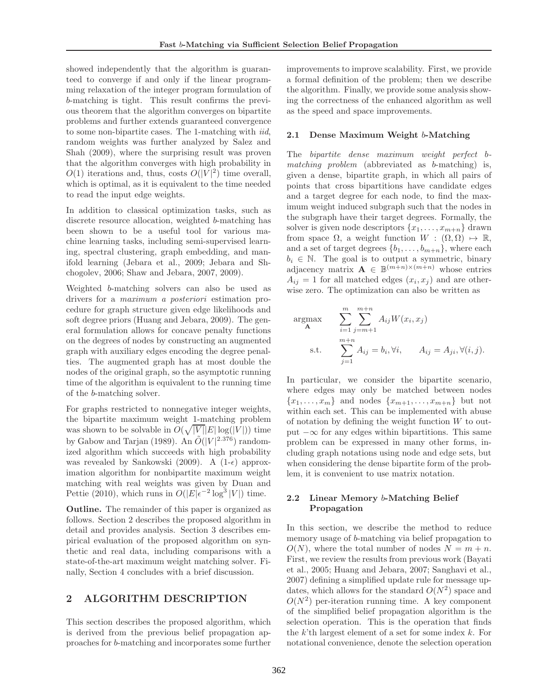showed independently that the algorithm is guaranteed to converge if and only if the linear programming relaxation of the integer program formulation of b-matching is tight. This result confirms the previous theorem that the algorithm converges on bipartite problems and further extends guaranteed convergence to some non-bipartite cases. The 1-matching with *iid*, random weights was further analyzed by Salez and Shah (2009), where the surprising result was proven that the algorithm converges with high probability in  $O(1)$  iterations and, thus, costs  $O(|V|^2)$  time overall, which is optimal, as it is equivalent to the time needed to read the input edge weights.

In addition to classical optimization tasks, such as discrete resource allocation, weighted b-matching has been shown to be a useful tool for various machine learning tasks, including semi-supervised learning, spectral clustering, graph embedding, and manifold learning (Jebara et al., 2009; Jebara and Shchogolev, 2006; Shaw and Jebara, 2007, 2009).

Weighted b-matching solvers can also be used as drivers for a *maximum a posteriori* estimation procedure for graph structure given edge likelihoods and soft degree priors (Huang and Jebara, 2009). The general formulation allows for concave penalty functions on the degrees of nodes by constructing an augmented graph with auxiliary edges encoding the degree penalties. The augmented graph has at most double the nodes of the original graph, so the asymptotic running time of the algorithm is equivalent to the running time of the b-matching solver.

For graphs restricted to nonnegative integer weights, the bipartite maximum weight 1-matching problem was shown to be solvable in  $O(\sqrt{|V|}|E|\log(|V|))$  time by Gabow and Tarjan (1989). An  $\tilde{O}(|V|^{2.376})$  randomized algorithm which succeeds with high probability was revealed by Sankowski (2009). A  $(1-\epsilon)$  approximation algorithm for nonbipartite maximum weight matching with real weights was given by Duan and Pettie (2010), which runs in  $O(|E|\epsilon^{-2}\log^3{|V|})$  time.

**Outline.** The remainder of this paper is organized as follows. Section 2 describes the proposed algorithm in detail and provides analysis. Section 3 describes empirical evaluation of the proposed algorithm on synthetic and real data, including comparisons with a state-of-the-art maximum weight matching solver. Finally, Section 4 concludes with a brief discussion.

# **2 ALGORITHM DESCRIPTION**

This section describes the proposed algorithm, which is derived from the previous belief propagation approaches for b-matching and incorporates some further

improvements to improve scalability. First, we provide a formal definition of the problem; then we describe the algorithm. Finally, we provide some analysis showing the correctness of the enhanced algorithm as well as the speed and space improvements.

#### **2.1 Dense Maximum Weight** b**-Matching**

The *bipartite dense maximum weight perfect* b*matching problem* (abbreviated as b-matching) is, given a dense, bipartite graph, in which all pairs of points that cross bipartitions have candidate edges and a target degree for each node, to find the maximum weight induced subgraph such that the nodes in the subgraph have their target degrees. Formally, the solver is given node descriptors  $\{x_1,\ldots,x_{m+n}\}\$  drawn from space  $\Omega$ , a weight function  $W : (\Omega, \Omega) \mapsto \mathbb{R}$ , and a set of target degrees  $\{b_1,\ldots,b_{m+n}\}$ , where each  $b_i \in \mathbb{N}$ . The goal is to output a symmetric, binary adjacency matrix  $\mathbf{A} \in \mathbb{B}^{(m+n)\times(m+n)}$  whose entries  $A_{ij} = 1$  for all matched edges  $(x_i, x_j)$  and are otherwise zero. The optimization can also be written as

$$
\begin{aligned}\n\arg\!\max_{\mathbf{A}} \qquad & \sum_{i=1}^{m} \sum_{j=m+1}^{m+n} A_{ij} W(x_i, x_j) \\
\text{s.t.} \qquad & \sum_{j=1}^{m+n} A_{ij} = b_i, \forall i, \qquad A_{ij} = A_{ji}, \forall (i, j).\n\end{aligned}
$$

In particular, we consider the bipartite scenario, where edges may only be matched between nodes  ${x_1,\ldots,x_m}$  and nodes  ${x_{m+1},\ldots,x_{m+n}}$  but not within each set. This can be implemented with abuse of notation by defining the weight function  $W$  to output  $-\infty$  for any edges within bipartitions. This same problem can be expressed in many other forms, including graph notations using node and edge sets, but when considering the dense bipartite form of the problem, it is convenient to use matrix notation.

### **2.2 Linear Memory** b**-Matching Belief Propagation**

In this section, we describe the method to reduce memory usage of b-matching via belief propagation to  $O(N)$ , where the total number of nodes  $N = m + n$ . First, we review the results from previous work (Bayati et al., 2005; Huang and Jebara, 2007; Sanghavi et al., 2007) defining a simplified update rule for message updates, which allows for the standard  $O(N^2)$  space and  $O(N^2)$  per-iteration running time. A key component of the simplified belief propagation algorithm is the selection operation. This is the operation that finds the  $k$ 'th largest element of a set for some index  $k$ . For notational convenience, denote the selection operation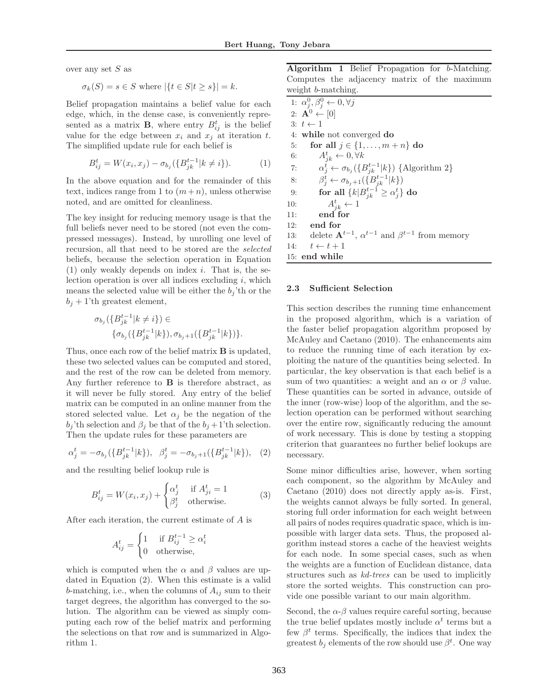over any set S as

$$
\sigma_k(S) = s \in S \text{ where } |\{t \in S | t \ge s\}| = k.
$$

Belief propagation maintains a belief value for each edge, which, in the dense case, is conveniently represented as a matrix **B**, where entry  $B_{ij}^t$  is the belief value for the edge between  $x_i$  and  $x_j$  at iteration t. The simplified update rule for each belief is

$$
B_{ij}^{t} = W(x_{i}, x_{j}) - \sigma_{b_{j}} (\{B_{jk}^{t-1} | k \neq i\}). \tag{1}
$$

In the above equation and for the remainder of this text, indices range from 1 to  $(m+n)$ , unless otherwise noted, and are omitted for cleanliness.

The key insight for reducing memory usage is that the full beliefs never need to be stored (not even the compressed messages). Instead, by unrolling one level of recursion, all that need to be stored are the *selected* beliefs, because the selection operation in Equation  $(1)$  only weakly depends on index *i*. That is, the selection operation is over all indices excluding  $i$ , which means the selected value will be either the  $b_i$ 'th or the  $b_j + 1$ 'th greatest element,

$$
\sigma_{b_j}(\{B_{jk}^{t-1}|k\neq i\}) \in
$$
  
 
$$
\{\sigma_{b_j}(\{B_{jk}^{t-1}|k\}), \sigma_{b_j+1}(\{B_{jk}^{t-1}|k\})\}.
$$

Thus, once each row of the belief matrix **B** is updated, these two selected values can be computed and stored, and the rest of the row can be deleted from memory. Any further reference to **B** is therefore abstract, as it will never be fully stored. Any entry of the belief matrix can be computed in an online manner from the stored selected value. Let  $\alpha_j$  be the negation of the  $b_j$ 'th selection and  $\beta_j$  be that of the  $b_j + 1$ 'th selection. Then the update rules for these parameters are

$$
\alpha_j^t = -\sigma_{b_j}(\{B_{jk}^{t-1}|k\}), \ \ \beta_j^t = -\sigma_{b_j+1}(\{B_{jk}^{t-1}|k\}), \ \ (2)
$$

and the resulting belief lookup rule is

$$
B_{ij}^{t} = W(x_{i}, x_{j}) + \begin{cases} \alpha_{j}^{t} & \text{if } A_{ji}^{t} = 1\\ \beta_{j}^{t} & \text{otherwise.} \end{cases}
$$
 (3)

After each iteration, the current estimate of A is

$$
A_{ij}^t = \begin{cases} 1 & \text{if } B_{ij}^{t-1} \ge \alpha_i^t \\ 0 & \text{otherwise,} \end{cases}
$$

which is computed when the  $\alpha$  and  $\beta$  values are updated in Equation (2). When this estimate is a valid b-matching, i.e., when the columns of  $A_{ij}$  sum to their target degrees, the algorithm has converged to the solution. The algorithm can be viewed as simply computing each row of the belief matrix and performing the selections on that row and is summarized in Algorithm 1.

**Algorithm 1** Belief Propagation for b-Matching. Computes the adjacency matrix of the maximum weight *b*-matching.

|     | 1: $\alpha_i^0, \beta_i^0 \leftarrow 0, \forall j$                     |
|-----|------------------------------------------------------------------------|
|     | 2: $\mathbf{A}^0 \leftarrow [0]$                                       |
|     | $3: t \leftarrow 1$                                                    |
|     | 4: while not converged do                                              |
| 5:  | for all $j \in \{1, \ldots, m+n\}$ do                                  |
| 6:  | $A_{jk}^t \leftarrow 0, \forall k$                                     |
| 7:  | $\alpha_i^t \leftarrow \sigma_{b_i}(\{B_{ik}^{t-1} k\})$ {Algorithm 2} |
| 8:  | $\beta_i^t \leftarrow \sigma_{b_i+1}(\{B_{ik}^{t-1} k\})$              |
| 9:  | for all $\{k B_{ik}^{t-1} \geq \alpha_i^t\}$ do                        |
| 10: | $A_{ik}^t \leftarrow 1$                                                |
| 11: | end for                                                                |
|     | $12:$ end for                                                          |
|     | 13: delete $A^{t-1}$ , $\alpha^{t-1}$ and $\beta^{t-1}$ from memory    |
|     | 14: $t \leftarrow t+1$                                                 |
|     | 15: end while                                                          |

#### **2.3 Sufficient Selection**

This section describes the running time enhancement in the proposed algorithm, which is a variation of the faster belief propagation algorithm proposed by McAuley and Caetano (2010). The enhancements aim to reduce the running time of each iteration by exploiting the nature of the quantities being selected. In particular, the key observation is that each belief is a sum of two quantities: a weight and an  $\alpha$  or  $\beta$  value. These quantities can be sorted in advance, outside of the inner (row-wise) loop of the algorithm, and the selection operation can be performed without searching over the entire row, significantly reducing the amount of work necessary. This is done by testing a stopping criterion that guarantees no further belief lookups are necessary.

Some minor difficulties arise, however, when sorting each component, so the algorithm by McAuley and Caetano (2010) does not directly apply as-is. First, the weights cannot always be fully sorted. In general, storing full order information for each weight between all pairs of nodes requires quadratic space, which is impossible with larger data sets. Thus, the proposed algorithm instead stores a cache of the heaviest weights for each node. In some special cases, such as when the weights are a function of Euclidean distance, data structures such as *kd-trees* can be used to implicitly store the sorted weights. This construction can provide one possible variant to our main algorithm.

Second, the  $\alpha$ - $\beta$  values require careful sorting, because the true belief updates mostly include  $\alpha^t$  terms but a few  $\beta^t$  terms. Specifically, the indices that index the greatest  $b_j$  elements of the row should use  $\beta^t$ . One way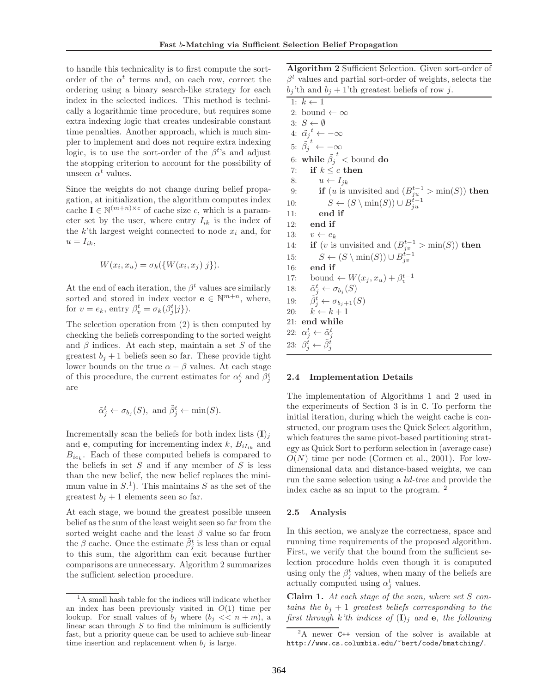to handle this technicality is to first compute the sortorder of the  $\alpha^t$  terms and, on each row, correct the ordering using a binary search-like strategy for each index in the selected indices. This method is technically a logarithmic time procedure, but requires some extra indexing logic that creates undesirable constant time penalties. Another approach, which is much simpler to implement and does not require extra indexing logic, is to use the sort-order of the  $\beta^{t}$ 's and adjust the stopping criterion to account for the possibility of unseen  $\alpha^t$  values.

Since the weights do not change during belief propagation, at initialization, the algorithm computes index cache **I**  $\in$  N<sup>(m+n)×c</sup> of cache size c, which is a parameter set by the user, where entry  $I_{ik}$  is the index of the  $k$ 'th largest weight connected to node  $x_i$  and, for  $u = I_{ik},$ 

$$
W(x_i, x_u) = \sigma_k(\{W(x_i, x_j)|j\}).
$$

At the end of each iteration, the  $\beta^t$  values are similarly sorted and stored in index vector **e**  $\in \mathbb{N}^{m+n}$ , where, for  $v = e_k$ , entry  $\beta_v^t = \sigma_k(\beta_j^t | j).$ 

The selection operation from (2) is then computed by checking the beliefs corresponding to the sorted weight and  $\beta$  indices. At each step, maintain a set S of the greatest  $b_j + 1$  beliefs seen so far. These provide tight lower bounds on the true  $\alpha - \beta$  values. At each stage of this procedure, the current estimates for  $\alpha_j^t$  and  $\beta_j^t$ are

$$
\tilde{\alpha}_j^t \leftarrow \sigma_{b_j}(S)
$$
, and  $\tilde{\beta}_j^t \leftarrow \min(S)$ .

Incrementally scan the beliefs for both index lists  $(I)_i$ and **e**, computing for incrementing index  $k$ ,  $B_{iI_{ik}}$  and  $B_{ie_k}$ . Each of these computed beliefs is compared to the beliefs in set  $S$  and if any member of  $S$  is less than the new belief, the new belief replaces the minimum value in  $S<sup>1</sup>$ . This maintains S as the set of the greatest  $b_j + 1$  elements seen so far.

At each stage, we bound the greatest possible unseen belief as the sum of the least weight seen so far from the sorted weight cache and the least  $\beta$  value so far from the  $\beta$  cache. Once the estimate  $\tilde{\beta}_j^t$  is less than or equal to this sum, the algorithm can exit because further comparisons are unnecessary. Algorithm 2 summarizes the sufficient selection procedure.

**Algorithm 2** Sufficient Selection. Given sort-order of  $\beta^t$  values and partial sort-order of weights, selects the  $b_j$ 'th and  $b_j + 1$ 'th greatest beliefs of row j.

1:  $k \leftarrow 1$ 2: bound  $\leftarrow \infty$ 3:  $S \leftarrow \emptyset$ 4:  $\tilde{\alpha_j}^t \leftarrow -\infty$ 5:  $\tilde{\beta_j}$  $t \leftarrow -\infty$  $6: \text{ while } \tilde{\beta_j}$  $t<sub>1</sub>$  bound **do** 7: **if**  $k \leq c$  **then** 8:  $u \leftarrow I_{jk}$ 9: **if** (u is unvisited and  $(B_{ju}^{t-1} > \min(S))$  then 10:  $S \leftarrow (S \setminus \min(S)) \cup B_{ju}^{t-1}$ 11: **end if** 12: **end if** 13:  $v \leftarrow e_k$ 14: **if** (*v* is unvisited and  $(B_{jv}^{t-1} > \min(S))$  then 15:  $S \leftarrow (S \setminus \min(S)) \cup B_{jv}^{t-1}$ 16: **end if** 17: bound ←  $W(x_j, x_u) + \beta_v^{t-1}$ <br>18:  $\tilde{\alpha}_i^t \leftarrow \sigma_{b_i}(S)$ 18:  $\tilde{\alpha}_j^t \leftarrow \sigma_{b_j}(S)$ 19:  $\tilde{\beta}_j^t \leftarrow \sigma_{b_j+1}(S)$ 20:  $k \leftarrow k + 1$ 21: **end while** 22:  $\alpha_j^t \leftarrow \tilde{\alpha}_j^t$ 23:  $\beta_j^t \leftarrow \tilde{\beta}_j^t$ 

#### **2.4 Implementation Details**

The implementation of Algorithms 1 and 2 used in the experiments of Section 3 is in C. To perform the initial iteration, during which the weight cache is constructed, our program uses the Quick Select algorithm, which features the same pivot-based partitioning strategy as Quick Sort to perform selection in (average case)  $O(N)$  time per node (Cormen et al., 2001). For lowdimensional data and distance-based weights, we can run the same selection using a *kd-tree* and provide the index cache as an input to the program. <sup>2</sup>

#### **2.5 Analysis**

In this section, we analyze the correctness, space and running time requirements of the proposed algorithm. First, we verify that the bound from the sufficient selection procedure holds even though it is computed using only the  $\beta_j^t$  values, when many of the beliefs are actually computed using  $\alpha_j^t$  values.

**Claim 1.** *At each stage of the scan, where set* S *contains the*  $b_j + 1$  *greatest beliefs corresponding to the first through* k'th indices of  $(I)_i$  and **e**, the following

<sup>&</sup>lt;sup>1</sup>A small hash table for the indices will indicate whether an index has been previously visited in *O*(1) time per lookup. For small values of  $b_j$  where  $(b_j \ll n + m)$ , a linear scan through *S* to find the minimum is sufficiently fast, but a priority queue can be used to achieve sub-linear time insertion and replacement when  $b_i$  is large.

<sup>&</sup>lt;sup>2</sup>A newer C++ version of the solver is available at http://www.cs.columbia.edu/~bert/code/bmatching/.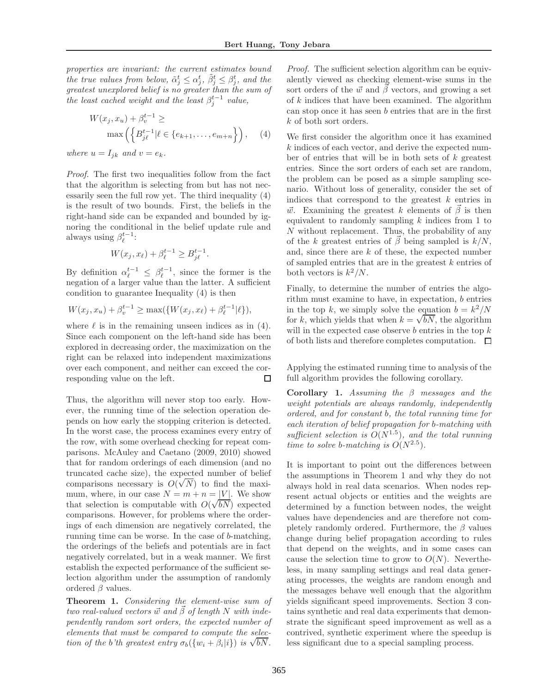*properties are invariant: the current estimates bound the true values from below,*  $\tilde{\alpha}_j^t \leq \alpha_j^t$ ,  $\tilde{\beta}_j^t \leq \beta_j^t$ , and the *greatest unexplored belief is no greater than the sum of the least cached weight and the least*  $\beta_j^{t-1}$  *value,* 

$$
W(x_j, x_u) + \beta_v^{t-1} \ge
$$
  

$$
\max\left(\left\{B_{j\ell}^{t-1} | \ell \in \{e_{k+1}, \dots, e_{m+n}\right\}\right), \quad (4)
$$

*where*  $u = I_{jk}$  *and*  $v = e_k$ *.* 

*Proof.* The first two inequalities follow from the fact that the algorithm is selecting from but has not necessarily seen the full row yet. The third inequality (4) is the result of two bounds. First, the beliefs in the right-hand side can be expanded and bounded by ignoring the conditional in the belief update rule and always using  $\beta_{\ell}^{t-1}$ :

$$
W(x_j, x_\ell) + \beta_\ell^{t-1} \ge B_{j\ell}^{t-1}.
$$

By definition  $\alpha_{\ell}^{t-1} \leq \beta_{\ell}^{t-1}$ , since the former is the negation of a larger value than the latter. A sufficient condition to guarantee Inequality (4) is then

$$
W(x_j, x_u) + \beta_v^{t-1} \ge \max(\{W(x_j, x_\ell) + \beta_\ell^{t-1} | \ell\}),
$$

where  $\ell$  is in the remaining unseen indices as in (4). Since each component on the left-hand side has been explored in decreasing order, the maximization on the right can be relaxed into independent maximizations over each component, and neither can exceed the corresponding value on the left. □

Thus, the algorithm will never stop too early. However, the running time of the selection operation depends on how early the stopping criterion is detected. In the worst case, the process examines every entry of the row, with some overhead checking for repeat comparisons. McAuley and Caetano (2009, 2010) showed that for random orderings of each dimension (and no truncated cache size), the expected number of belief truncated cache size), the expected number of belief<br>comparisons necessary is  $O(\sqrt{N})$  to find the maximum, where, in our case  $N = m + n = |V|$ . We show that selection is computable with  $O(\sqrt{b}N)$  expected comparisons. However, for problems where the orderings of each dimension are negatively correlated, the running time can be worse. In the case of b-matching, the orderings of the beliefs and potentials are in fact negatively correlated, but in a weak manner. We first establish the expected performance of the sufficient selection algorithm under the assumption of randomly ordered  $β$  values.

**Theorem 1.** *Considering the element-wise sum of two real-valued vectors*  $\vec{w}$  *and*  $\vec{\beta}$  *of length* N *with independently random sort orders, the expected number of elements that must be compared to compute the selection of the b'th* greatest entry  $\sigma_b(\{w_i + \beta_i | i\})$  is  $\sqrt{bN}$ .

*Proof.* The sufficient selection algorithm can be equivalently viewed as checking element-wise sums in the sort orders of the  $\vec{w}$  and  $\beta$  vectors, and growing a set of  $k$  indices that have been examined. The algorithm can stop once it has seen b entries that are in the first k of both sort orders.

We first consider the algorithm once it has examined k indices of each vector, and derive the expected number of entries that will be in both sets of  $k$  greatest entries. Since the sort orders of each set are random, the problem can be posed as a simple sampling scenario. Without loss of generality, consider the set of indices that correspond to the greatest  $k$  entries in  $\vec{w}$ . Examining the greatest k elements of  $\vec{\beta}$  is then equivalent to randomly sampling  $k$  indices from 1 to  $N$  without replacement. Thus, the probability of any of the k greatest entries of  $\vec{\beta}$  being sampled is  $k/N$ , and, since there are  $k$  of these, the expected number of sampled entries that are in the greatest k entries of both vectors is  $k^2/N$ .

Finally, to determine the number of entries the algorithm must examine to have, in expectation, b entries in the top k, we simply solve the equation  $b = k^2/N$ in the top k, we simply solve the equation  $b = k^2/N$ <br>for k, which yields that when  $k = \sqrt{bN}$ , the algorithm will in the expected case observe  $b$  entries in the top  $k$ of both lists and therefore completes computation.  $\Box$ 

Applying the estimated running time to analysis of the full algorithm provides the following corollary.

**Corollary 1.** *Assuming the* β *messages and the weight potentials are always randomly, independently ordered, and for constant* b*, the total running time for each iteration of belief propagation for* b*-matching with sufficient selection is*  $O(N^{1.5})$ *, and the total running time to solve b-matching is*  $O(N^{2.5})$ *.* 

It is important to point out the differences between the assumptions in Theorem 1 and why they do not always hold in real data scenarios. When nodes represent actual objects or entities and the weights are determined by a function between nodes, the weight values have dependencies and are therefore not completely randomly ordered. Furthermore, the  $\beta$  values change during belief propagation according to rules that depend on the weights, and in some cases can cause the selection time to grow to  $O(N)$ . Nevertheless, in many sampling settings and real data generating processes, the weights are random enough and the messages behave well enough that the algorithm yields significant speed improvements. Section 3 contains synthetic and real data experiments that demonstrate the significant speed improvement as well as a contrived, synthetic experiment where the speedup is less significant due to a special sampling process.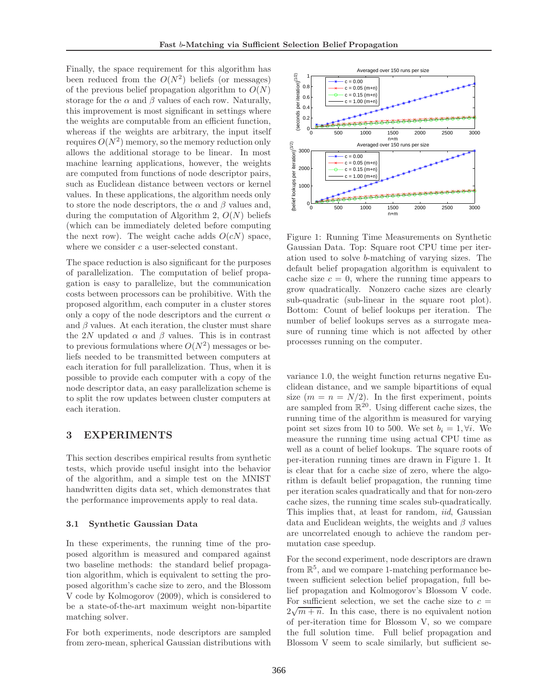Finally, the space requirement for this algorithm has been reduced from the  $O(N^2)$  beliefs (or messages) of the previous belief propagation algorithm to  $O(N)$ storage for the  $\alpha$  and  $\beta$  values of each row. Naturally, this improvement is most significant in settings where the weights are computable from an efficient function, whereas if the weights are arbitrary, the input itself requires  $O(N^2)$  memory, so the memory reduction only allows the additional storage to be linear. In most machine learning applications, however, the weights are computed from functions of node descriptor pairs, such as Euclidean distance between vectors or kernel values. In these applications, the algorithm needs only to store the node descriptors, the  $\alpha$  and  $\beta$  values and, during the computation of Algorithm 2,  $O(N)$  beliefs (which can be immediately deleted before computing the next row). The weight cache adds  $O(cN)$  space, where we consider c a user-selected constant.

The space reduction is also significant for the purposes of parallelization. The computation of belief propagation is easy to parallelize, but the communication costs between processors can be prohibitive. With the proposed algorithm, each computer in a cluster stores only a copy of the node descriptors and the current  $\alpha$ and  $\beta$  values. At each iteration, the cluster must share the 2N updated  $\alpha$  and  $\beta$  values. This is in contrast to previous formulations where  $O(N^2)$  messages or beliefs needed to be transmitted between computers at each iteration for full parallelization. Thus, when it is possible to provide each computer with a copy of the node descriptor data, an easy parallelization scheme is to split the row updates between cluster computers at each iteration.

#### 3 **EXPERIMENTS**

This section describes empirical results from synthetic tests, which provide useful insight into the behavior of the algorithm, and a simple test on the MNIST handwritten digits data set, which demonstrates that the performance improvements apply to real data.

#### **3.1 Synthetic Gaussian Data**

In these experiments, the running time of the proposed algorithm is measured and compared against two baseline methods: the standard belief propagation algorithm, which is equivalent to setting the proposed algorithm's cache size to zero, and the Blossom V code by Kolmogorov (2009), which is considered to be a state-of-the-art maximum weight non-bipartite matching solver.

For both experiments, node descriptors are sampled from zero-mean, spherical Gaussian distributions with



Figure 1: Running Time Measurements on Synthetic Gaussian Data. Top: Square root CPU time per iteration used to solve b-matching of varying sizes. The default belief propagation algorithm is equivalent to cache size  $c = 0$ , where the running time appears to grow quadratically. Nonzero cache sizes are clearly sub-quadratic (sub-linear in the square root plot). Bottom: Count of belief lookups per iteration. The number of belief lookups serves as a surrogate measure of running time which is not affected by other processes running on the computer.

variance 1.0, the weight function returns negative Euclidean distance, and we sample bipartitions of equal size  $(m = n = N/2)$ . In the first experiment, points are sampled from  $\mathbb{R}^{20}$ . Using different cache sizes, the running time of the algorithm is measured for varying point set sizes from 10 to 500. We set  $b_i = 1, \forall i$ . We measure the running time using actual CPU time as well as a count of belief lookups. The square roots of per-iteration running times are drawn in Figure 1. It is clear that for a cache size of zero, where the algorithm is default belief propagation, the running time per iteration scales quadratically and that for non-zero cache sizes, the running time scales sub-quadratically. This implies that, at least for random, *iid*, Gaussian data and Euclidean weights, the weights and  $\beta$  values are uncorrelated enough to achieve the random permutation case speedup.

For the second experiment, node descriptors are drawn from  $\mathbb{R}^5$ , and we compare 1-matching performance between sufficient selection belief propagation, full belief propagation and Kolmogorov's Blossom V code. For sufficient selection, we set the cache size to  $c =$ For sumeristic selection, we set the cathering size to  $c = 2\sqrt{m+n}$ . In this case, there is no equivalent notion of per-iteration time for Blossom V, so we compare the full solution time. Full belief propagation and Blossom V seem to scale similarly, but sufficient se-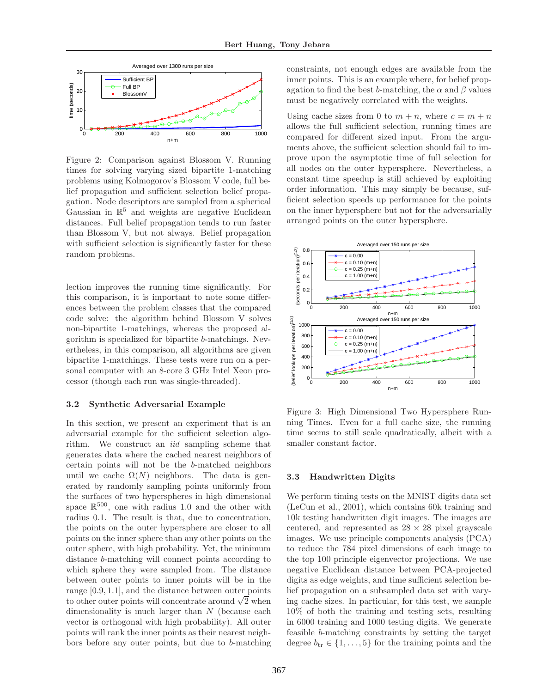

Figure 2: Comparison against Blossom V. Running times for solving varying sized bipartite 1-matching problems using Kolmogorov's Blossom V code, full belief propagation and sufficient selection belief propagation. Node descriptors are sampled from a spherical Gaussian in  $\mathbb{R}^5$  and weights are negative Euclidean distances. Full belief propagation tends to run faster than Blossom V, but not always. Belief propagation with sufficient selection is significantly faster for these random problems.

lection improves the running time significantly. For this comparison, it is important to note some differences between the problem classes that the compared code solve: the algorithm behind Blossom V solves non-bipartite 1-matchings, whereas the proposed algorithm is specialized for bipartite b-matchings. Nevertheless, in this comparison, all algorithms are given bipartite 1-matchings. These tests were run on a personal computer with an 8-core 3 GHz Intel Xeon processor (though each run was single-threaded).

#### **3.2 Synthetic Adversarial Example**

In this section, we present an experiment that is an adversarial example for the sufficient selection algorithm. We construct an *iid* sampling scheme that generates data where the cached nearest neighbors of certain points will not be the b-matched neighbors until we cache  $\Omega(N)$  neighbors. The data is generated by randomly sampling points uniformly from the surfaces of two hyperspheres in high dimensional space  $\mathbb{R}^{500}$ , one with radius 1.0 and the other with radius 0.1. The result is that, due to concentration, the points on the outer hypersphere are closer to all points on the inner sphere than any other points on the outer sphere, with high probability. Yet, the minimum distance b-matching will connect points according to which sphere they were sampled from. The distance between outer points to inner points will be in the range [0.9, 1.1], and the distance between outer points to other outer points will concentrate around  $\sqrt{2}$  when dimensionality is much larger than  $N$  (because each vector is orthogonal with high probability). All outer points will rank the inner points as their nearest neighbors before any outer points, but due to b-matching constraints, not enough edges are available from the inner points. This is an example where, for belief propagation to find the best b-matching, the  $\alpha$  and  $\beta$  values must be negatively correlated with the weights.

Using cache sizes from 0 to  $m + n$ , where  $c = m + n$ allows the full sufficient selection, running times are compared for different sized input. From the arguments above, the sufficient selection should fail to improve upon the asymptotic time of full selection for all nodes on the outer hypersphere. Nevertheless, a constant time speedup is still achieved by exploiting order information. This may simply be because, sufficient selection speeds up performance for the points on the inner hypersphere but not for the adversarially arranged points on the outer hypersphere.



Figure 3: High Dimensional Two Hypersphere Running Times. Even for a full cache size, the running time seems to still scale quadratically, albeit with a smaller constant factor.

## **3.3 Handwritten Digits**

We perform timing tests on the MNIST digits data set (LeCun et al., 2001), which contains 60k training and 10k testing handwritten digit images. The images are centered, and represented as  $28 \times 28$  pixel grayscale images. We use principle components analysis (PCA) to reduce the 784 pixel dimensions of each image to the top 100 principle eigenvector projections. We use negative Euclidean distance between PCA-projected digits as edge weights, and time sufficient selection belief propagation on a subsampled data set with varying cache sizes. In particular, for this test, we sample 10% of both the training and testing sets, resulting in 6000 training and 1000 testing digits. We generate feasible b-matching constraints by setting the target degree  $b_{\text{tr}} \in \{1, \ldots, 5\}$  for the training points and the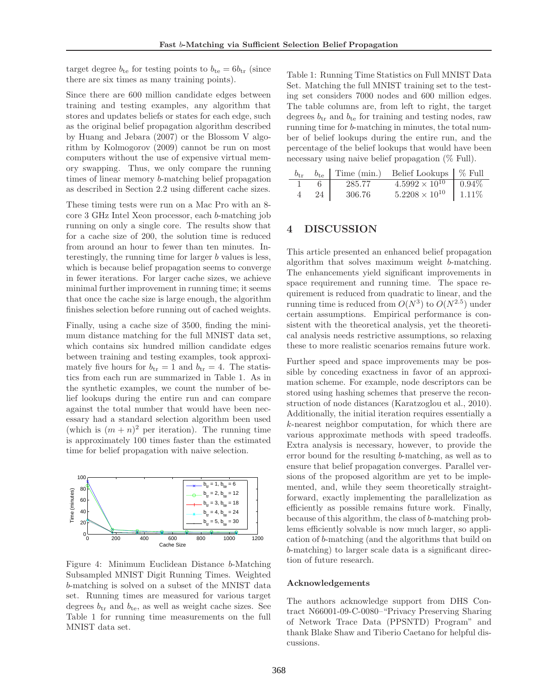target degree  $b_{te}$  for testing points to  $b_{te} = 6b_{tr}$  (since there are six times as many training points).

Since there are 600 million candidate edges between training and testing examples, any algorithm that stores and updates beliefs or states for each edge, such as the original belief propagation algorithm described by Huang and Jebara (2007) or the Blossom V algorithm by Kolmogorov (2009) cannot be run on most computers without the use of expensive virtual memory swapping. Thus, we only compare the running times of linear memory b-matching belief propagation as described in Section 2.2 using different cache sizes.

These timing tests were run on a Mac Pro with an 8 core 3 GHz Intel Xeon processor, each b-matching job running on only a single core. The results show that for a cache size of 200, the solution time is reduced from around an hour to fewer than ten minutes. Interestingly, the running time for larger  $b$  values is less, which is because belief propagation seems to converge in fewer iterations. For larger cache sizes, we achieve minimal further improvement in running time; it seems that once the cache size is large enough, the algorithm finishes selection before running out of cached weights.

Finally, using a cache size of 3500, finding the minimum distance matching for the full MNIST data set, which contains six hundred million candidate edges between training and testing examples, took approximately five hours for  $b_{tr} = 1$  and  $b_{tr} = 4$ . The statistics from each run are summarized in Table 1. As in the synthetic examples, we count the number of belief lookups during the entire run and can compare against the total number that would have been necessary had a standard selection algorithm been used (which is  $(m+n)^2$  per iteration). The running time is approximately 100 times faster than the estimated time for belief propagation with naive selection.



Figure 4: Minimum Euclidean Distance b-Matching Subsampled MNIST Digit Running Times. Weighted b-matching is solved on a subset of the MNIST data set. Running times are measured for various target degrees  $b_{tr}$  and  $b_{te}$ , as well as weight cache sizes. See Table 1 for running time measurements on the full MNIST data set.

Table 1: Running Time Statistics on Full MNIST Data Set. Matching the full MNIST training set to the testing set considers 7000 nodes and 600 million edges. The table columns are, from left to right, the target degrees  $b_{tr}$  and  $b_{te}$  for training and testing nodes, raw running time for b-matching in minutes, the total number of belief lookups during the entire run, and the percentage of the belief lookups that would have been necessary using naive belief propagation (% Full).

|    |        | $b_{\text{tr}}$ $b_{\text{te}}$ Time (min.) Belief Lookups   % Full |          |
|----|--------|---------------------------------------------------------------------|----------|
|    | 285.77 | $4.5992 \times 10^{10}$ 0.94\%                                      |          |
| 24 | 306.76 | $5.2208 \times 10^{10}$                                             | $1.11\%$ |

## $\overline{\mathbf{4}}$

This article presented an enhanced belief propagation algorithm that solves maximum weight b-matching. The enhancements yield significant improvements in space requirement and running time. The space requirement is reduced from quadratic to linear, and the running time is reduced from  $O(N^3)$  to  $O(N^{2.5})$  under certain assumptions. Empirical performance is consistent with the theoretical analysis, yet the theoretical analysis needs restrictive assumptions, so relaxing these to more realistic scenarios remains future work.

Further speed and space improvements may be possible by conceding exactness in favor of an approximation scheme. For example, node descriptors can be stored using hashing schemes that preserve the reconstruction of node distances (Karatzoglou et al., 2010). Additionally, the initial iteration requires essentially a k-nearest neighbor computation, for which there are various approximate methods with speed tradeoffs. Extra analysis is necessary, however, to provide the error bound for the resulting b-matching, as well as to ensure that belief propagation converges. Parallel versions of the proposed algorithm are yet to be implemented, and, while they seem theoretically straightforward, exactly implementing the parallelization as efficiently as possible remains future work. Finally, because of this algorithm, the class of b-matching problems efficiently solvable is now much larger, so application of b-matching (and the algorithms that build on b-matching) to larger scale data is a significant direction of future research.

#### **Acknowledgements**

The authors acknowledge support from DHS Contract N66001-09-C-0080–"Privacy Preserving Sharing of Network Trace Data (PPSNTD) Program" and thank Blake Shaw and Tiberio Caetano for helpful discussions.